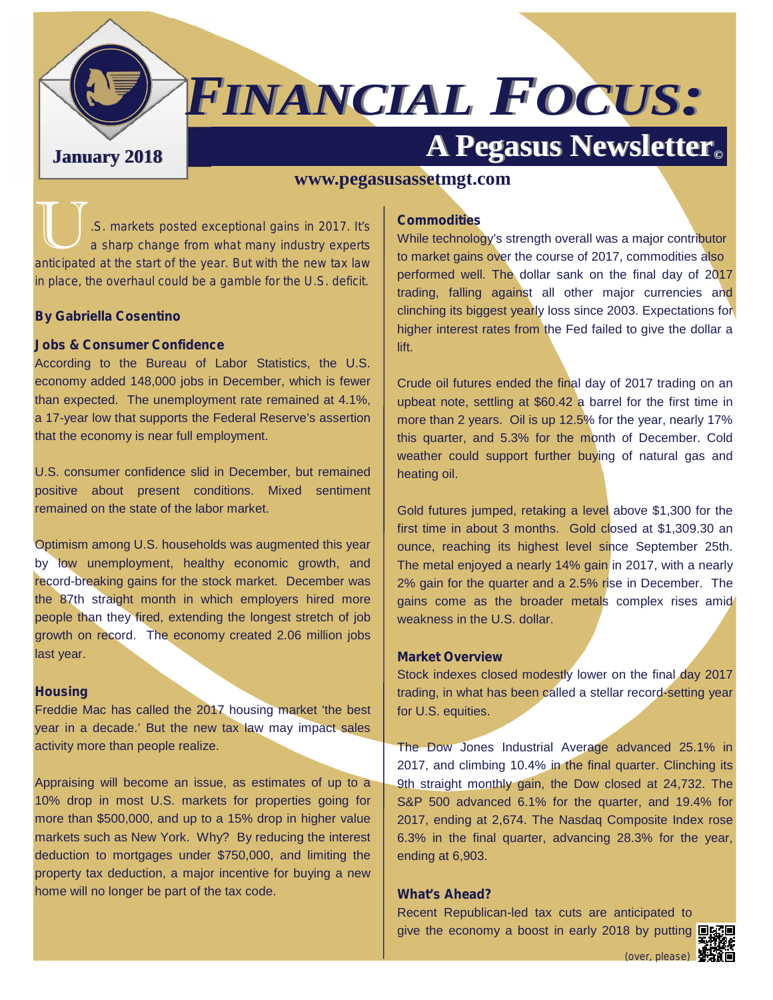# *FINANCIAL FOCUS:*

# **A Pegasus Newsletter CONFIDENTIAL AREADS NEWSLETTER A Pegasus Newsletter CONFIDENTIAL A**

#### **www.pegasusassetmgt.com**

U<sub>.S.</sub> markets posted exceptional gains in 2017. It's<br>a sharp change from what many industry experts<br>on the start of the vear. But with the new tow low *a sharp change from what many industry experts anticipated at the start of the year. But with the new tax law in place, the overhaul could be a gamble for the U.S. deficit.*

#### **By Gabriella Cosentino**

#### **Jobs & Consumer Confidence**

According to the Bureau of Labor Statistics, the U.S. economy added 148,000 jobs in December, which is fewer than expected. The unemployment rate remained at 4.1%, a 17-year low that supports the Federal Reserve's assertion that the economy is near full employment.

U.S. consumer confidence slid in December, but remained positive about present conditions. Mixed sentiment remained on the state of the labor market.

Optimism among U.S. households was augmented this year by low unemployment, healthy economic growth, and record-breaking gains for the stock market. December was the 87th straight month in which employers hired more people than they fired, extending the longest stretch of job growth on record. The economy created 2.06 million jobs last year.

#### **Housing**

Freddie Mac has called the 2017 housing market 'the best year in a decade.' But the new tax law may impact sales activity more than people realize.

Appraising will become an issue, as estimates of up to a 10% drop in most U.S. markets for properties going for more than \$500,000, and up to a 15% drop in higher value markets such as New York. Why? By reducing the interest deduction to mortgages under \$750,000, and limiting the property tax deduction, a major incentive for buying a new home will no longer be part of the tax code.

#### **Commodities**

While technology's strength overall was a major contributor to market gains over the course of 2017, commodities also performed well. The dollar sank on the final day of 2017 trading, falling against all other major currencies and clinching its biggest yearly loss since 2003. Expectations for higher interest rates from the Fed failed to give the dollar a lift.

Crude oil futures ended the final day of 2017 trading on an upbeat note, settling at \$60.42 a barrel for the first time in more than 2 years. Oil is up 12.5% for the year, nearly 17% this quarter, and 5.3% for the month of December. Cold weather could support further buying of natural gas and heating oil.

Gold futures jumped, retaking a level above \$1,300 for the first time in about 3 months. Gold closed at \$1,309.30 an ounce, reaching its highest level since September 25th. The metal enjoyed a nearly 14% gain in 2017, with a nearly 2% gain for the quarter and a 2.5% rise in December. The gains come as the broader metals complex rises amid weakness in the U.S. dollar.

#### **Market Overview**

Stock indexes closed modestly lower on the final day 2017 trading, in what has been called a stellar record-setting year for U.S. equities.

The Dow Jones Industrial Average advanced 25.1% in 2017, and climbing 10.4% in the final quarter. Clinching its 9th straight monthly gain, the Dow closed at 24,732. The S&P 500 advanced 6.1% for the quarter, and 19.4% for 2017, ending at 2,674. The Nasdaq Composite Index rose 6.3% in the final quarter, advancing 28.3% for the year, ending at 6,903.

#### **What's Ahead?**

Recent Republican-led tax cuts are anticipated to give the economy a boost in early 2018 by putting  $\blacksquare$